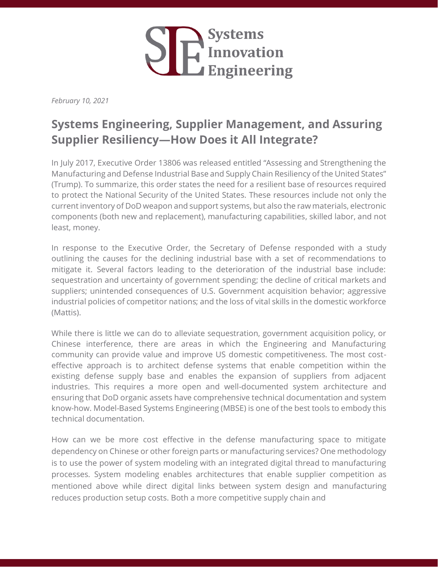

*February 10, 2021*

## **Systems Engineering, Supplier Management, and Assuring Supplier Resiliency—How Does it All Integrate?**

In July 2017, Executive Order 13806 was released entitled "Assessing and Strengthening the Manufacturing and Defense Industrial Base and Supply Chain Resiliency of the United States" (Trump). To summarize, this order states the need for a resilient base of resources required to protect the National Security of the United States. These resources include not only the current inventory of DoD weapon and support systems, but also the raw materials, electronic components (both new and replacement), manufacturing capabilities, skilled labor, and not least, money.

In response to the Executive Order, the Secretary of Defense responded with a study outlining the causes for the declining industrial base with a set of recommendations to mitigate it. Several factors leading to the deterioration of the industrial base include: sequestration and uncertainty of government spending; the decline of critical markets and suppliers; unintended consequences of U.S. Government acquisition behavior; aggressive industrial policies of competitor nations; and the loss of vital skills in the domestic workforce (Mattis).

While there is little we can do to alleviate sequestration, government acquisition policy, or Chinese interference, there are areas in which the Engineering and Manufacturing community can provide value and improve US domestic competitiveness. The most costeffective approach is to architect defense systems that enable competition within the existing defense supply base and enables the expansion of suppliers from adjacent industries. This requires a more open and well-documented system architecture and ensuring that DoD organic assets have comprehensive technical documentation and system know-how. Model-Based Systems Engineering (MBSE) is one of the best tools to embody this technical documentation.

How can we be more cost effective in the defense manufacturing space to mitigate dependency on Chinese or other foreign parts or manufacturing services? One methodology is to use the power of system modeling with an integrated digital thread to manufacturing processes. System modeling enables architectures that enable supplier competition as mentioned above while direct digital links between system design and manufacturing reduces production setup costs. Both a more competitive supply chain and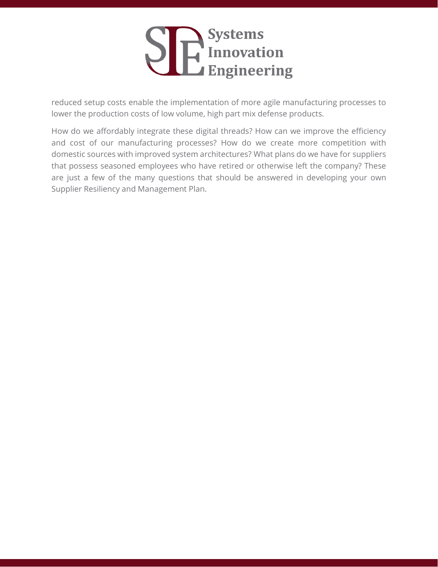

reduced setup costs enable the implementation of more agile manufacturing processes to lower the production costs of low volume, high part mix defense products.

How do we affordably integrate these digital threads? How can we improve the efficiency and cost of our manufacturing processes? How do we create more competition with domestic sources with improved system architectures? What plans do we have for suppliers that possess seasoned employees who have retired or otherwise left the company? These are just a few of the many questions that should be answered in developing your own Supplier Resiliency and Management Plan.